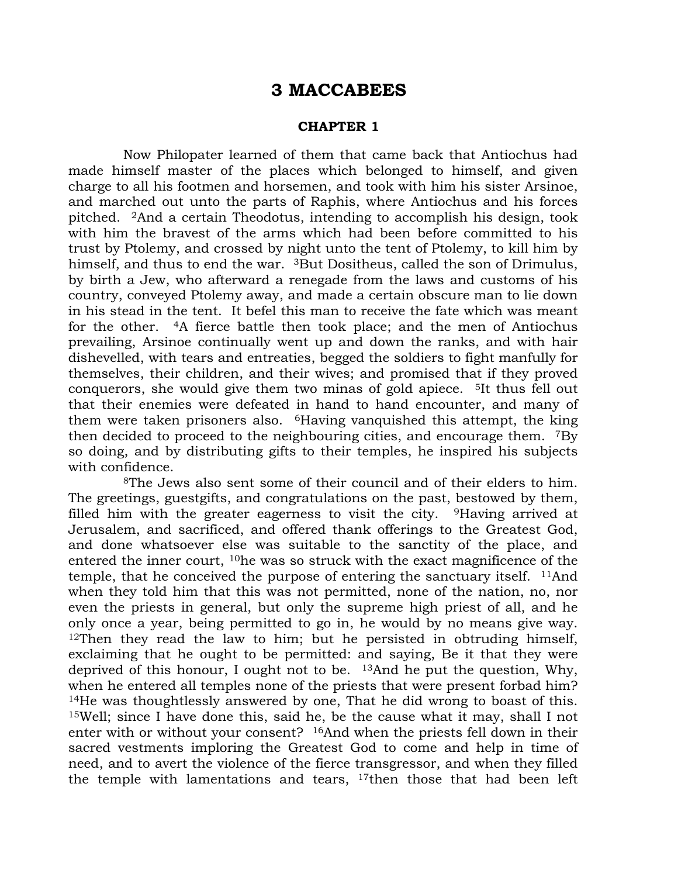# 3 MACCABEES

## CHAPTER 1

Now Philopater learned of them that came back that Antiochus had made himself master of the places which belonged to himself, and given charge to all his footmen and horsemen, and took with him his sister Arsinoe, and marched out unto the parts of Raphis, where Antiochus and his forces pitched. <sup>2</sup>And a certain Theodotus, intending to accomplish his design, took with him the bravest of the arms which had been before committed to his trust by Ptolemy, and crossed by night unto the tent of Ptolemy, to kill him by himself, and thus to end the war. <sup>3</sup>But Dositheus, called the son of Drimulus, by birth a Jew, who afterward a renegade from the laws and customs of his country, conveyed Ptolemy away, and made a certain obscure man to lie down in his stead in the tent. It befel this man to receive the fate which was meant for the other. <sup>4</sup>A fierce battle then took place; and the men of Antiochus prevailing, Arsinoe continually went up and down the ranks, and with hair dishevelled, with tears and entreaties, begged the soldiers to fight manfully for themselves, their children, and their wives; and promised that if they proved conquerors, she would give them two minas of gold apiece. <sup>5</sup>It thus fell out that their enemies were defeated in hand to hand encounter, and many of them were taken prisoners also. <sup>6</sup>Having vanquished this attempt, the king then decided to proceed to the neighbouring cities, and encourage them. <sup>7</sup>By so doing, and by distributing gifts to their temples, he inspired his subjects with confidence.

<sup>8</sup>The Jews also sent some of their council and of their elders to him. The greetings, guestgifts, and congratulations on the past, bestowed by them, filled him with the greater eagerness to visit the city. <sup>9</sup>Having arrived at Jerusalem, and sacrificed, and offered thank offerings to the Greatest God, and done whatsoever else was suitable to the sanctity of the place, and entered the inner court, <sup>10</sup>he was so struck with the exact magnificence of the temple, that he conceived the purpose of entering the sanctuary itself. <sup>11</sup>And when they told him that this was not permitted, none of the nation, no, nor even the priests in general, but only the supreme high priest of all, and he only once a year, being permitted to go in, he would by no means give way. <sup>12</sup>Then they read the law to him; but he persisted in obtruding himself, exclaiming that he ought to be permitted: and saying, Be it that they were deprived of this honour, I ought not to be. <sup>13</sup>And he put the question, Why, when he entered all temples none of the priests that were present forbad him? <sup>14</sup>He was thoughtlessly answered by one, That he did wrong to boast of this. <sup>15</sup>Well; since I have done this, said he, be the cause what it may, shall I not enter with or without your consent? <sup>16</sup>And when the priests fell down in their sacred vestments imploring the Greatest God to come and help in time of need, and to avert the violence of the fierce transgressor, and when they filled the temple with lamentations and tears, 17then those that had been left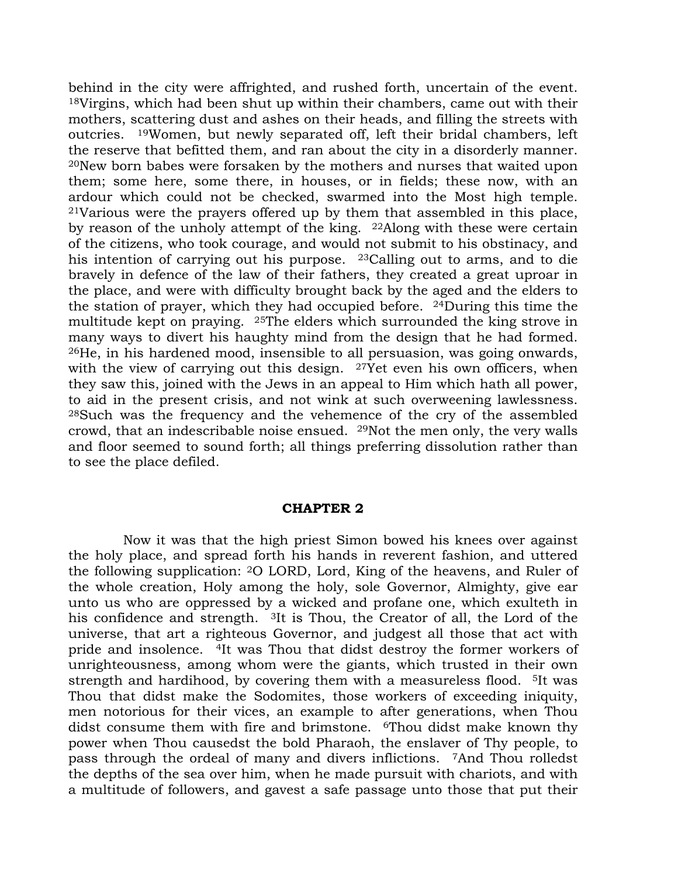behind in the city were affrighted, and rushed forth, uncertain of the event. <sup>18</sup>Virgins, which had been shut up within their chambers, came out with their mothers, scattering dust and ashes on their heads, and filling the streets with outcries. <sup>19</sup>Women, but newly separated off, left their bridal chambers, left the reserve that befitted them, and ran about the city in a disorderly manner. <sup>20</sup>New born babes were forsaken by the mothers and nurses that waited upon them; some here, some there, in houses, or in fields; these now, with an ardour which could not be checked, swarmed into the Most high temple. <sup>21</sup>Various were the prayers offered up by them that assembled in this place, by reason of the unholy attempt of the king. <sup>22</sup>Along with these were certain of the citizens, who took courage, and would not submit to his obstinacy, and his intention of carrying out his purpose. <sup>23</sup>Calling out to arms, and to die bravely in defence of the law of their fathers, they created a great uproar in the place, and were with difficulty brought back by the aged and the elders to the station of prayer, which they had occupied before. <sup>24</sup>During this time the multitude kept on praying. <sup>25</sup>The elders which surrounded the king strove in many ways to divert his haughty mind from the design that he had formed. <sup>26</sup>He, in his hardened mood, insensible to all persuasion, was going onwards, with the view of carrying out this design. <sup>27</sup>Yet even his own officers, when they saw this, joined with the Jews in an appeal to Him which hath all power, to aid in the present crisis, and not wink at such overweening lawlessness. <sup>28</sup>Such was the frequency and the vehemence of the cry of the assembled crowd, that an indescribable noise ensued. <sup>29</sup>Not the men only, the very walls and floor seemed to sound forth; all things preferring dissolution rather than to see the place defiled.

#### CHAPTER 2

Now it was that the high priest Simon bowed his knees over against the holy place, and spread forth his hands in reverent fashion, and uttered the following supplication: <sup>2</sup>O LORD, Lord, King of the heavens, and Ruler of the whole creation, Holy among the holy, sole Governor, Almighty, give ear unto us who are oppressed by a wicked and profane one, which exulteth in his confidence and strength. <sup>3</sup>It is Thou, the Creator of all, the Lord of the universe, that art a righteous Governor, and judgest all those that act with pride and insolence. <sup>4</sup>It was Thou that didst destroy the former workers of unrighteousness, among whom were the giants, which trusted in their own strength and hardihood, by covering them with a measureless flood. <sup>5</sup>It was Thou that didst make the Sodomites, those workers of exceeding iniquity, men notorious for their vices, an example to after generations, when Thou didst consume them with fire and brimstone. <sup>6</sup>Thou didst make known thy power when Thou causedst the bold Pharaoh, the enslaver of Thy people, to pass through the ordeal of many and divers inflictions. <sup>7</sup>And Thou rolledst the depths of the sea over him, when he made pursuit with chariots, and with a multitude of followers, and gavest a safe passage unto those that put their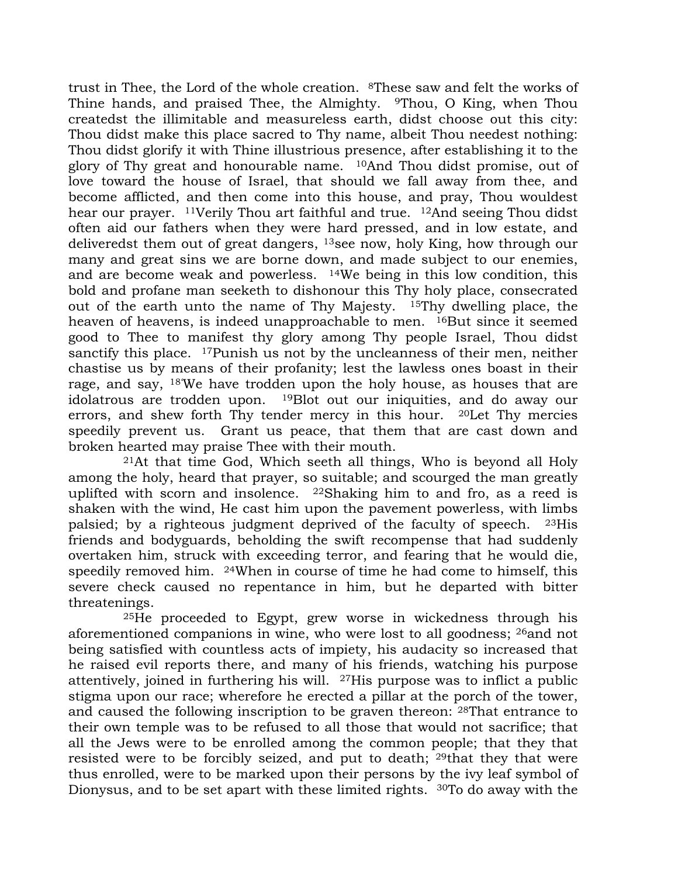trust in Thee, the Lord of the whole creation. <sup>8</sup>These saw and felt the works of Thine hands, and praised Thee, the Almighty. <sup>9</sup>Thou, O King, when Thou createdst the illimitable and measureless earth, didst choose out this city: Thou didst make this place sacred to Thy name, albeit Thou needest nothing: Thou didst glorify it with Thine illustrious presence, after establishing it to the glory of Thy great and honourable name. <sup>10</sup>And Thou didst promise, out of love toward the house of Israel, that should we fall away from thee, and become afflicted, and then come into this house, and pray, Thou wouldest hear our prayer. <sup>11</sup>Verily Thou art faithful and true. <sup>12</sup>And seeing Thou didst often aid our fathers when they were hard pressed, and in low estate, and deliveredst them out of great dangers, <sup>13</sup>see now, holy King, how through our many and great sins we are borne down, and made subject to our enemies, and are become weak and powerless. <sup>14</sup>We being in this low condition, this bold and profane man seeketh to dishonour this Thy holy place, consecrated out of the earth unto the name of Thy Majesty. <sup>15</sup>Thy dwelling place, the heaven of heavens, is indeed unapproachable to men. <sup>16</sup>But since it seemed good to Thee to manifest thy glory among Thy people Israel, Thou didst sanctify this place. <sup>17</sup>Punish us not by the uncleanness of their men, neither chastise us by means of their profanity; lest the lawless ones boast in their rage, and say, 18'We have trodden upon the holy house, as houses that are idolatrous are trodden upon. <sup>19</sup>Blot out our iniquities, and do away our errors, and shew forth Thy tender mercy in this hour. <sup>20</sup>Let Thy mercies speedily prevent us. Grant us peace, that them that are cast down and broken hearted may praise Thee with their mouth.

<sup>21</sup>At that time God, Which seeth all things, Who is beyond all Holy among the holy, heard that prayer, so suitable; and scourged the man greatly uplifted with scorn and insolence. <sup>22</sup>Shaking him to and fro, as a reed is shaken with the wind, He cast him upon the pavement powerless, with limbs palsied; by a righteous judgment deprived of the faculty of speech. <sup>23</sup>His friends and bodyguards, beholding the swift recompense that had suddenly overtaken him, struck with exceeding terror, and fearing that he would die, speedily removed him. <sup>24</sup>When in course of time he had come to himself, this severe check caused no repentance in him, but he departed with bitter threatenings.

<sup>25</sup>He proceeded to Egypt, grew worse in wickedness through his aforementioned companions in wine, who were lost to all goodness; <sup>26</sup>and not being satisfied with countless acts of impiety, his audacity so increased that he raised evil reports there, and many of his friends, watching his purpose attentively, joined in furthering his will. <sup>27</sup>His purpose was to inflict a public stigma upon our race; wherefore he erected a pillar at the porch of the tower, and caused the following inscription to be graven thereon: <sup>28</sup>That entrance to their own temple was to be refused to all those that would not sacrifice; that all the Jews were to be enrolled among the common people; that they that resisted were to be forcibly seized, and put to death; <sup>29</sup>that they that were thus enrolled, were to be marked upon their persons by the ivy leaf symbol of Dionysus, and to be set apart with these limited rights. 30To do away with the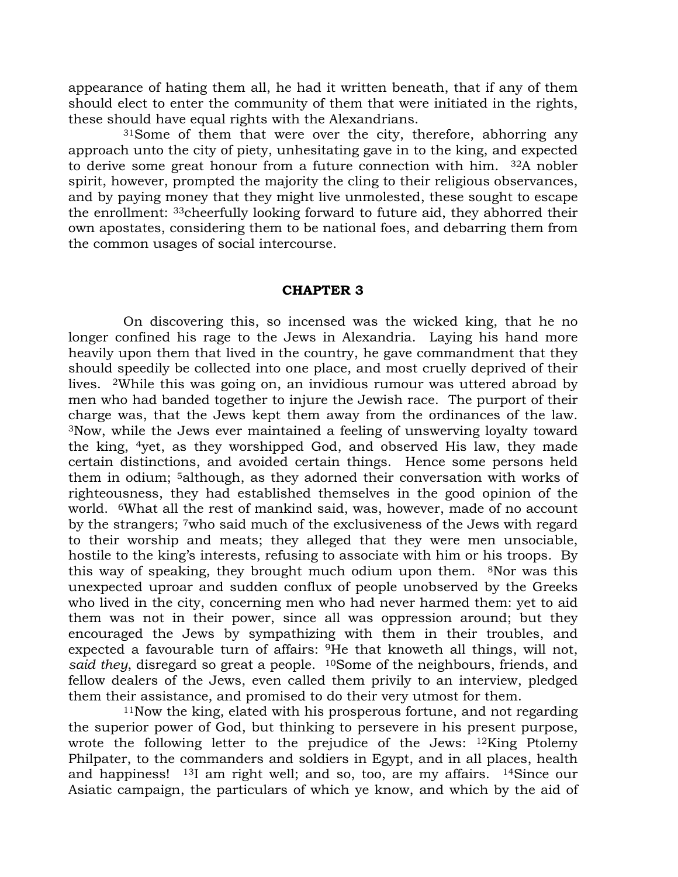appearance of hating them all, he had it written beneath, that if any of them should elect to enter the community of them that were initiated in the rights, these should have equal rights with the Alexandrians.

<sup>31</sup>Some of them that were over the city, therefore, abhorring any approach unto the city of piety, unhesitating gave in to the king, and expected to derive some great honour from a future connection with him. <sup>32</sup>A nobler spirit, however, prompted the majority the cling to their religious observances, and by paying money that they might live unmolested, these sought to escape the enrollment: <sup>33</sup>cheerfully looking forward to future aid, they abhorred their own apostates, considering them to be national foes, and debarring them from the common usages of social intercourse.

## CHAPTER 3

On discovering this, so incensed was the wicked king, that he no longer confined his rage to the Jews in Alexandria. Laying his hand more heavily upon them that lived in the country, he gave commandment that they should speedily be collected into one place, and most cruelly deprived of their lives. <sup>2</sup>While this was going on, an invidious rumour was uttered abroad by men who had banded together to injure the Jewish race. The purport of their charge was, that the Jews kept them away from the ordinances of the law. <sup>3</sup>Now, while the Jews ever maintained a feeling of unswerving loyalty toward the king, <sup>4</sup>yet, as they worshipped God, and observed His law, they made certain distinctions, and avoided certain things. Hence some persons held them in odium; <sup>5</sup>although, as they adorned their conversation with works of righteousness, they had established themselves in the good opinion of the world. <sup>6</sup>What all the rest of mankind said, was, however, made of no account by the strangers; <sup>7</sup>who said much of the exclusiveness of the Jews with regard to their worship and meats; they alleged that they were men unsociable, hostile to the king's interests, refusing to associate with him or his troops. By this way of speaking, they brought much odium upon them. <sup>8</sup>Nor was this unexpected uproar and sudden conflux of people unobserved by the Greeks who lived in the city, concerning men who had never harmed them: yet to aid them was not in their power, since all was oppression around; but they encouraged the Jews by sympathizing with them in their troubles, and expected a favourable turn of affairs: <sup>9</sup>He that knoweth all things, will not, said they, disregard so great a people. <sup>10</sup>Some of the neighbours, friends, and fellow dealers of the Jews, even called them privily to an interview, pledged them their assistance, and promised to do their very utmost for them.

<sup>11</sup>Now the king, elated with his prosperous fortune, and not regarding the superior power of God, but thinking to persevere in his present purpose, wrote the following letter to the prejudice of the Jews: <sup>12</sup>King Ptolemy Philpater, to the commanders and soldiers in Egypt, and in all places, health and happiness! <sup>13</sup>I am right well; and so, too, are my affairs. <sup>14</sup>Since our Asiatic campaign, the particulars of which ye know, and which by the aid of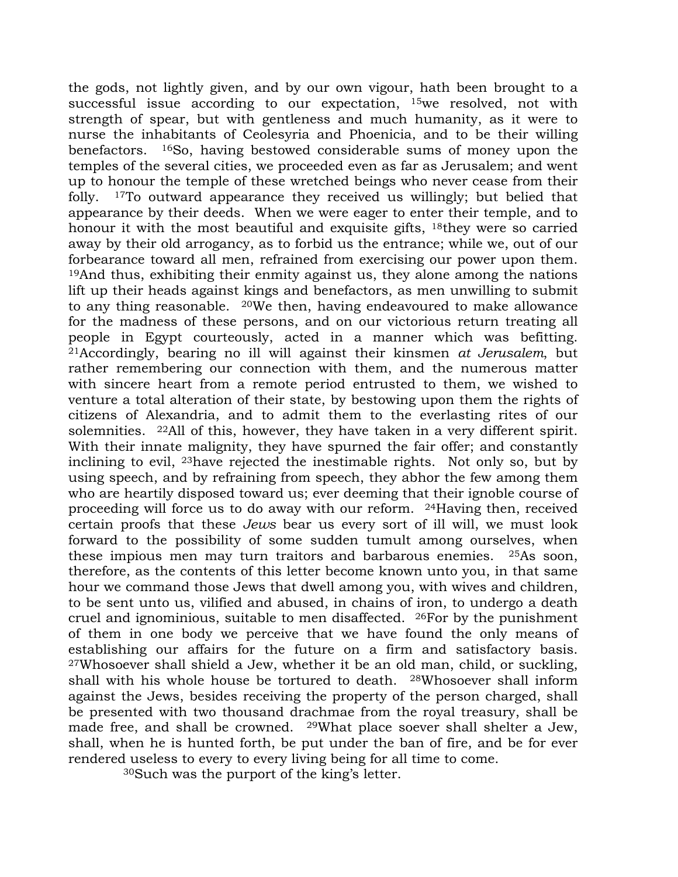the gods, not lightly given, and by our own vigour, hath been brought to a successful issue according to our expectation, <sup>15</sup>we resolved, not with strength of spear, but with gentleness and much humanity, as it were to nurse the inhabitants of Ceolesyria and Phoenicia, and to be their willing benefactors. <sup>16</sup>So, having bestowed considerable sums of money upon the temples of the several cities, we proceeded even as far as Jerusalem; and went up to honour the temple of these wretched beings who never cease from their folly. <sup>17</sup>To outward appearance they received us willingly; but belied that appearance by their deeds. When we were eager to enter their temple, and to honour it with the most beautiful and exquisite gifts, <sup>18</sup>they were so carried away by their old arrogancy, as to forbid us the entrance; while we, out of our forbearance toward all men, refrained from exercising our power upon them. <sup>19</sup>And thus, exhibiting their enmity against us, they alone among the nations lift up their heads against kings and benefactors, as men unwilling to submit to any thing reasonable. <sup>20</sup>We then, having endeavoured to make allowance for the madness of these persons, and on our victorious return treating all people in Egypt courteously, acted in a manner which was befitting. <sup>21</sup>Accordingly, bearing no ill will against their kinsmen at Jerusalem, but rather remembering our connection with them, and the numerous matter with sincere heart from a remote period entrusted to them, we wished to venture a total alteration of their state, by bestowing upon them the rights of citizens of Alexandria, and to admit them to the everlasting rites of our solemnities. <sup>22</sup>All of this, however, they have taken in a very different spirit. With their innate malignity, they have spurned the fair offer; and constantly inclining to evil, <sup>23</sup>have rejected the inestimable rights. Not only so, but by using speech, and by refraining from speech, they abhor the few among them who are heartily disposed toward us; ever deeming that their ignoble course of proceeding will force us to do away with our reform. <sup>24</sup>Having then, received certain proofs that these Jews bear us every sort of ill will, we must look forward to the possibility of some sudden tumult among ourselves, when these impious men may turn traitors and barbarous enemies. <sup>25</sup>As soon, therefore, as the contents of this letter become known unto you, in that same hour we command those Jews that dwell among you, with wives and children, to be sent unto us, vilified and abused, in chains of iron, to undergo a death cruel and ignominious, suitable to men disaffected. <sup>26</sup>For by the punishment of them in one body we perceive that we have found the only means of establishing our affairs for the future on a firm and satisfactory basis. <sup>27</sup>Whosoever shall shield a Jew, whether it be an old man, child, or suckling, shall with his whole house be tortured to death. <sup>28</sup>Whosoever shall inform against the Jews, besides receiving the property of the person charged, shall be presented with two thousand drachmae from the royal treasury, shall be made free, and shall be crowned. <sup>29</sup>What place soever shall shelter a Jew, shall, when he is hunted forth, be put under the ban of fire, and be for ever rendered useless to every to every living being for all time to come.

30Such was the purport of the king's letter.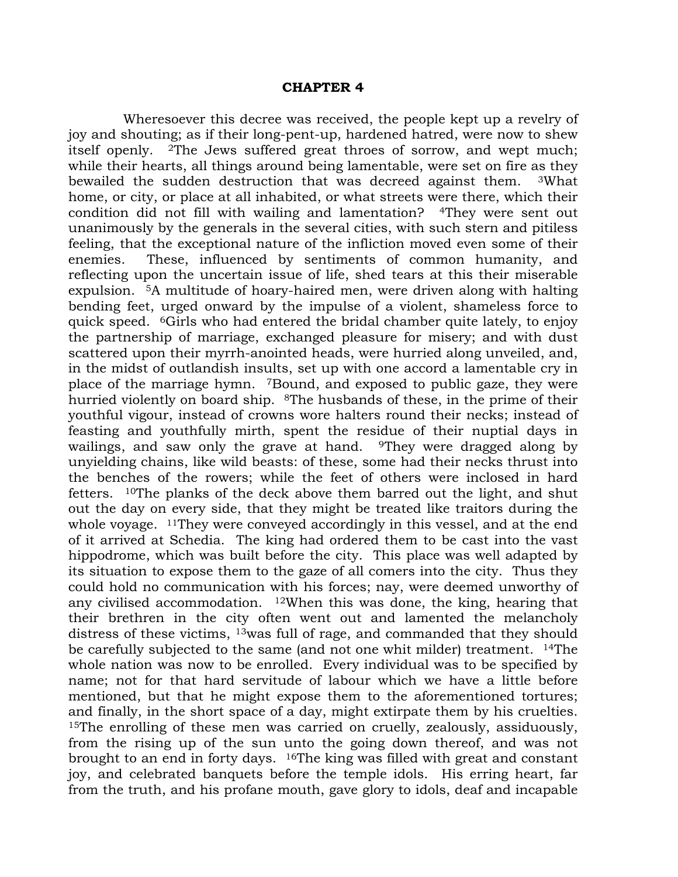#### CHAPTER 4

Wheresoever this decree was received, the people kept up a revelry of joy and shouting; as if their long-pent-up, hardened hatred, were now to shew itself openly. <sup>2</sup>The Jews suffered great throes of sorrow, and wept much; while their hearts, all things around being lamentable, were set on fire as they bewailed the sudden destruction that was decreed against them. <sup>3</sup>What home, or city, or place at all inhabited, or what streets were there, which their condition did not fill with wailing and lamentation? <sup>4</sup>They were sent out unanimously by the generals in the several cities, with such stern and pitiless feeling, that the exceptional nature of the infliction moved even some of their enemies. These, influenced by sentiments of common humanity, and reflecting upon the uncertain issue of life, shed tears at this their miserable expulsion. <sup>5</sup>A multitude of hoary-haired men, were driven along with halting bending feet, urged onward by the impulse of a violent, shameless force to quick speed. <sup>6</sup>Girls who had entered the bridal chamber quite lately, to enjoy the partnership of marriage, exchanged pleasure for misery; and with dust scattered upon their myrrh-anointed heads, were hurried along unveiled, and, in the midst of outlandish insults, set up with one accord a lamentable cry in place of the marriage hymn. <sup>7</sup>Bound, and exposed to public gaze, they were hurried violently on board ship. <sup>8</sup>The husbands of these, in the prime of their youthful vigour, instead of crowns wore halters round their necks; instead of feasting and youthfully mirth, spent the residue of their nuptial days in wailings, and saw only the grave at hand. <sup>9</sup>They were dragged along by unyielding chains, like wild beasts: of these, some had their necks thrust into the benches of the rowers; while the feet of others were inclosed in hard fetters. <sup>10</sup>The planks of the deck above them barred out the light, and shut out the day on every side, that they might be treated like traitors during the whole voyage. <sup>11</sup>They were conveyed accordingly in this vessel, and at the end of it arrived at Schedia. The king had ordered them to be cast into the vast hippodrome, which was built before the city. This place was well adapted by its situation to expose them to the gaze of all comers into the city. Thus they could hold no communication with his forces; nay, were deemed unworthy of any civilised accommodation. <sup>12</sup>When this was done, the king, hearing that their brethren in the city often went out and lamented the melancholy distress of these victims, <sup>13</sup>was full of rage, and commanded that they should be carefully subjected to the same (and not one whit milder) treatment. <sup>14</sup>The whole nation was now to be enrolled. Every individual was to be specified by name; not for that hard servitude of labour which we have a little before mentioned, but that he might expose them to the aforementioned tortures; and finally, in the short space of a day, might extirpate them by his cruelties. <sup>15</sup>The enrolling of these men was carried on cruelly, zealously, assiduously, from the rising up of the sun unto the going down thereof, and was not brought to an end in forty days. <sup>16</sup>The king was filled with great and constant joy, and celebrated banquets before the temple idols. His erring heart, far from the truth, and his profane mouth, gave glory to idols, deaf and incapable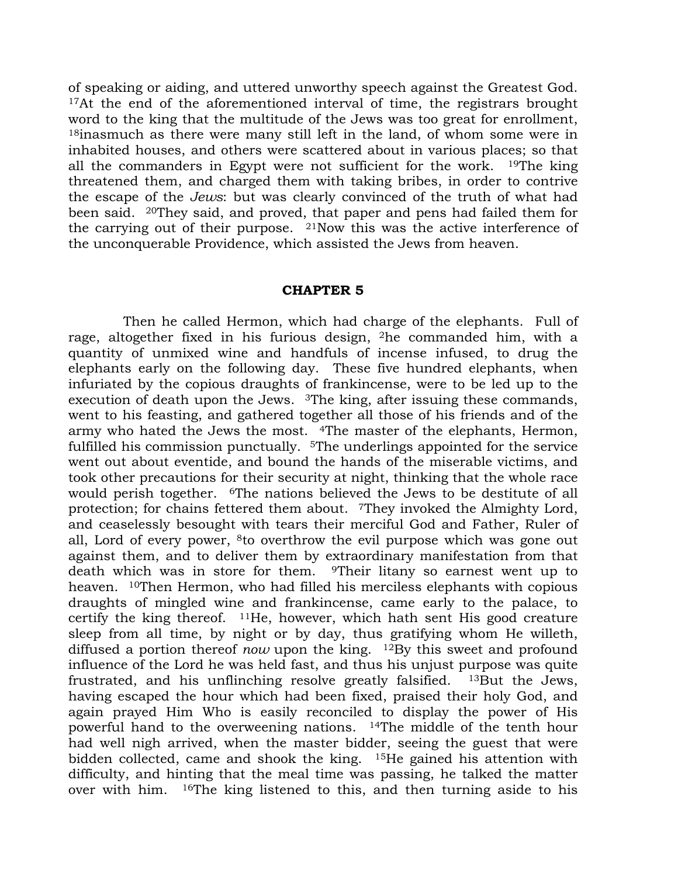of speaking or aiding, and uttered unworthy speech against the Greatest God. <sup>17</sup>At the end of the aforementioned interval of time, the registrars brought word to the king that the multitude of the Jews was too great for enrollment, <sup>18</sup>inasmuch as there were many still left in the land, of whom some were in inhabited houses, and others were scattered about in various places; so that all the commanders in Egypt were not sufficient for the work. <sup>19</sup>The king threatened them, and charged them with taking bribes, in order to contrive the escape of the Jews: but was clearly convinced of the truth of what had been said. <sup>20</sup>They said, and proved, that paper and pens had failed them for the carrying out of their purpose. <sup>21</sup>Now this was the active interference of the unconquerable Providence, which assisted the Jews from heaven.

#### CHAPTER 5

Then he called Hermon, which had charge of the elephants. Full of rage, altogether fixed in his furious design, <sup>2</sup>he commanded him, with a quantity of unmixed wine and handfuls of incense infused, to drug the elephants early on the following day. These five hundred elephants, when infuriated by the copious draughts of frankincense, were to be led up to the execution of death upon the Jews. <sup>3</sup>The king, after issuing these commands, went to his feasting, and gathered together all those of his friends and of the army who hated the Jews the most. <sup>4</sup>The master of the elephants, Hermon, fulfilled his commission punctually. <sup>5</sup>The underlings appointed for the service went out about eventide, and bound the hands of the miserable victims, and took other precautions for their security at night, thinking that the whole race would perish together. <sup>6</sup>The nations believed the Jews to be destitute of all protection; for chains fettered them about. <sup>7</sup>They invoked the Almighty Lord, and ceaselessly besought with tears their merciful God and Father, Ruler of all, Lord of every power, <sup>8</sup>to overthrow the evil purpose which was gone out against them, and to deliver them by extraordinary manifestation from that death which was in store for them. <sup>9</sup>Their litany so earnest went up to heaven. <sup>10</sup>Then Hermon, who had filled his merciless elephants with copious draughts of mingled wine and frankincense, came early to the palace, to certify the king thereof.  $11He$ , however, which hath sent His good creature sleep from all time, by night or by day, thus gratifying whom He willeth, diffused a portion thereof now upon the king.  $12\text{By}$  this sweet and profound influence of the Lord he was held fast, and thus his unjust purpose was quite frustrated, and his unflinching resolve greatly falsified. <sup>13</sup>But the Jews, having escaped the hour which had been fixed, praised their holy God, and again prayed Him Who is easily reconciled to display the power of His powerful hand to the overweening nations. <sup>14</sup>The middle of the tenth hour had well nigh arrived, when the master bidder, seeing the guest that were bidden collected, came and shook the king. <sup>15</sup>He gained his attention with difficulty, and hinting that the meal time was passing, he talked the matter over with him. 16The king listened to this, and then turning aside to his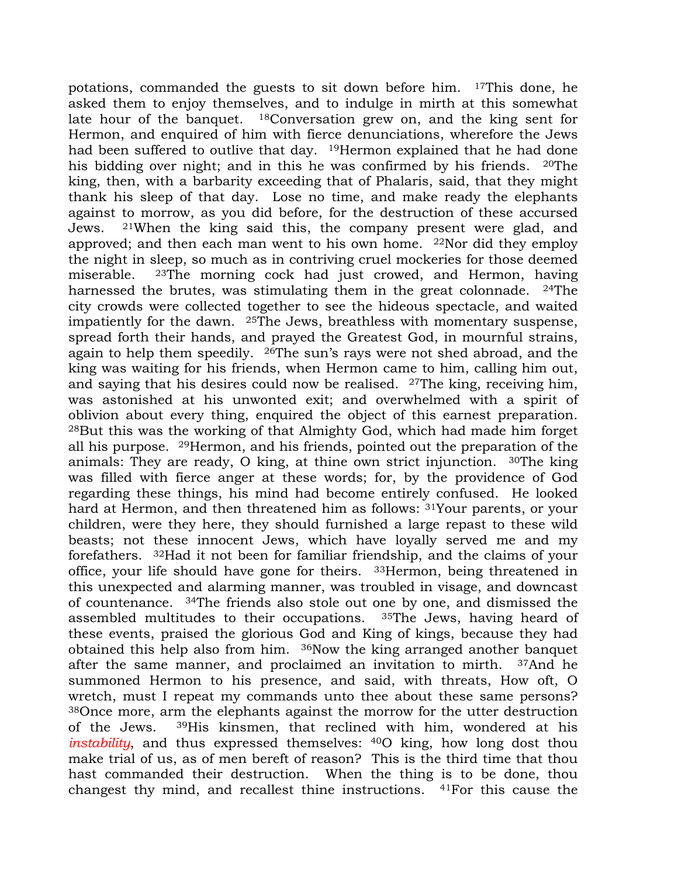potations, commanded the guests to sit down before him. <sup>17</sup>This done, he asked them to enjoy themselves, and to indulge in mirth at this somewhat late hour of the banquet. <sup>18</sup>Conversation grew on, and the king sent for Hermon, and enquired of him with fierce denunciations, wherefore the Jews had been suffered to outlive that day. <sup>19</sup>Hermon explained that he had done his bidding over night; and in this he was confirmed by his friends. <sup>20</sup>The king, then, with a barbarity exceeding that of Phalaris, said, that they might thank his sleep of that day. Lose no time, and make ready the elephants against to morrow, as you did before, for the destruction of these accursed Jews. <sup>21</sup>When the king said this, the company present were glad, and approved; and then each man went to his own home.  $22$ Nor did they employ the night in sleep, so much as in contriving cruel mockeries for those deemed miserable. <sup>23</sup>The morning cock had just crowed, and Hermon, having harnessed the brutes, was stimulating them in the great colonnade. <sup>24</sup>The city crowds were collected together to see the hideous spectacle, and waited impatiently for the dawn. <sup>25</sup>The Jews, breathless with momentary suspense, spread forth their hands, and prayed the Greatest God, in mournful strains, again to help them speedily. <sup>26</sup>The sun's rays were not shed abroad, and the king was waiting for his friends, when Hermon came to him, calling him out, and saying that his desires could now be realised. <sup>27</sup>The king, receiving him, was astonished at his unwonted exit; and overwhelmed with a spirit of oblivion about every thing, enquired the object of this earnest preparation. <sup>28</sup>But this was the working of that Almighty God, which had made him forget all his purpose. <sup>29</sup>Hermon, and his friends, pointed out the preparation of the animals: They are ready, O king, at thine own strict injunction. <sup>30</sup>The king was filled with fierce anger at these words; for, by the providence of God regarding these things, his mind had become entirely confused. He looked hard at Hermon, and then threatened him as follows: <sup>31</sup>Your parents, or your children, were they here, they should furnished a large repast to these wild beasts; not these innocent Jews, which have loyally served me and my forefathers. <sup>32</sup>Had it not been for familiar friendship, and the claims of your office, your life should have gone for theirs. <sup>33</sup>Hermon, being threatened in this unexpected and alarming manner, was troubled in visage, and downcast of countenance. <sup>34</sup>The friends also stole out one by one, and dismissed the assembled multitudes to their occupations. <sup>35</sup>The Jews, having heard of these events, praised the glorious God and King of kings, because they had obtained this help also from him. <sup>36</sup>Now the king arranged another banquet after the same manner, and proclaimed an invitation to mirth. <sup>37</sup>And he summoned Hermon to his presence, and said, with threats, How oft, O wretch, must I repeat my commands unto thee about these same persons? <sup>38</sup>Once more, arm the elephants against the morrow for the utter destruction of the Jews. <sup>39</sup>His kinsmen, that reclined with him, wondered at his instability, and thus expressed themselves: <sup>40</sup>O king, how long dost thou make trial of us, as of men bereft of reason? This is the third time that thou hast commanded their destruction. When the thing is to be done, thou changest thy mind, and recallest thine instructions. 41For this cause the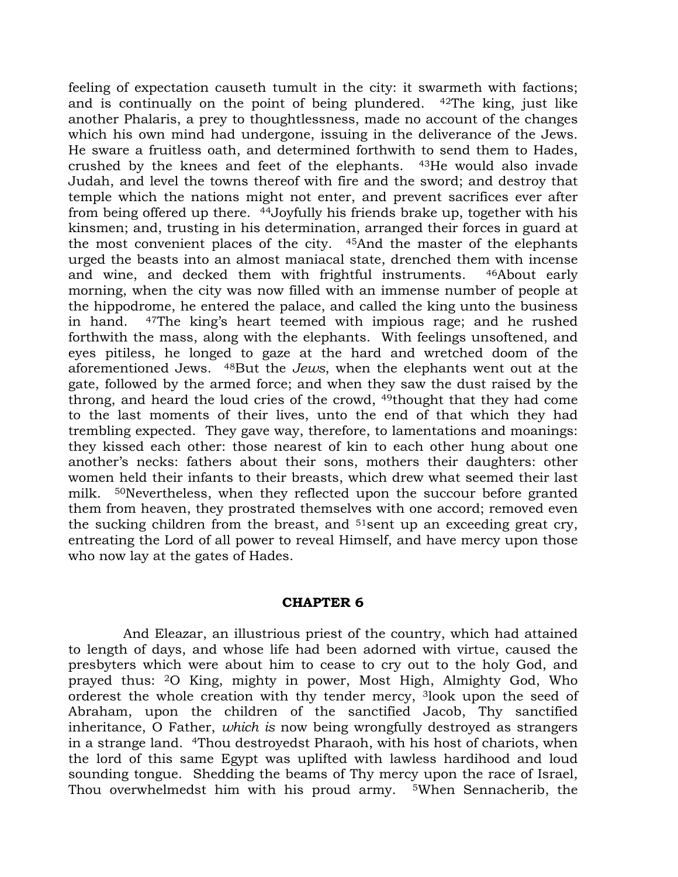feeling of expectation causeth tumult in the city: it swarmeth with factions; and is continually on the point of being plundered. <sup>42</sup>The king, just like another Phalaris, a prey to thoughtlessness, made no account of the changes which his own mind had undergone, issuing in the deliverance of the Jews. He sware a fruitless oath, and determined forthwith to send them to Hades, crushed by the knees and feet of the elephants. <sup>43</sup>He would also invade Judah, and level the towns thereof with fire and the sword; and destroy that temple which the nations might not enter, and prevent sacrifices ever after from being offered up there. <sup>44</sup>Joyfully his friends brake up, together with his kinsmen; and, trusting in his determination, arranged their forces in guard at the most convenient places of the city. <sup>45</sup>And the master of the elephants urged the beasts into an almost maniacal state, drenched them with incense and wine, and decked them with frightful instruments. <sup>46</sup>About early morning, when the city was now filled with an immense number of people at the hippodrome, he entered the palace, and called the king unto the business in hand. <sup>47</sup>The king's heart teemed with impious rage; and he rushed forthwith the mass, along with the elephants. With feelings unsoftened, and eyes pitiless, he longed to gaze at the hard and wretched doom of the aforementioned Jews. <sup>48</sup>But the Jews, when the elephants went out at the gate, followed by the armed force; and when they saw the dust raised by the throng, and heard the loud cries of the crowd, <sup>49</sup>thought that they had come to the last moments of their lives, unto the end of that which they had trembling expected. They gave way, therefore, to lamentations and moanings: they kissed each other: those nearest of kin to each other hung about one another's necks: fathers about their sons, mothers their daughters: other women held their infants to their breasts, which drew what seemed their last milk. <sup>50</sup>Nevertheless, when they reflected upon the succour before granted them from heaven, they prostrated themselves with one accord; removed even the sucking children from the breast, and <sup>51</sup>sent up an exceeding great cry, entreating the Lord of all power to reveal Himself, and have mercy upon those who now lay at the gates of Hades.

## CHAPTER 6

And Eleazar, an illustrious priest of the country, which had attained to length of days, and whose life had been adorned with virtue, caused the presbyters which were about him to cease to cry out to the holy God, and prayed thus: <sup>2</sup>O King, mighty in power, Most High, Almighty God, Who orderest the whole creation with thy tender mercy, <sup>3</sup>look upon the seed of Abraham, upon the children of the sanctified Jacob, Thy sanctified inheritance, O Father, which is now being wrongfully destroyed as strangers in a strange land. <sup>4</sup>Thou destroyedst Pharaoh, with his host of chariots, when the lord of this same Egypt was uplifted with lawless hardihood and loud sounding tongue. Shedding the beams of Thy mercy upon the race of Israel, Thou overwhelmedst him with his proud army. 5When Sennacherib, the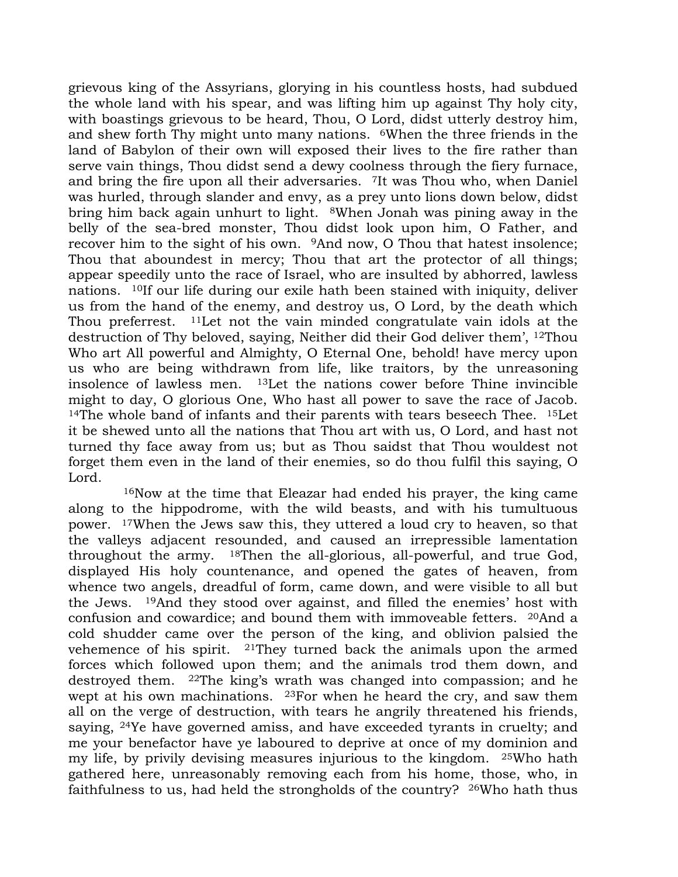grievous king of the Assyrians, glorying in his countless hosts, had subdued the whole land with his spear, and was lifting him up against Thy holy city, with boastings grievous to be heard, Thou, O Lord, didst utterly destroy him, and shew forth Thy might unto many nations. <sup>6</sup>When the three friends in the land of Babylon of their own will exposed their lives to the fire rather than serve vain things, Thou didst send a dewy coolness through the fiery furnace, and bring the fire upon all their adversaries. <sup>7</sup>It was Thou who, when Daniel was hurled, through slander and envy, as a prey unto lions down below, didst bring him back again unhurt to light. <sup>8</sup>When Jonah was pining away in the belly of the sea-bred monster, Thou didst look upon him, O Father, and recover him to the sight of his own. <sup>9</sup>And now, O Thou that hatest insolence; Thou that aboundest in mercy; Thou that art the protector of all things; appear speedily unto the race of Israel, who are insulted by abhorred, lawless nations. <sup>10</sup>If our life during our exile hath been stained with iniquity, deliver us from the hand of the enemy, and destroy us, O Lord, by the death which Thou preferrest. <sup>11</sup>Let not the vain minded congratulate vain idols at the destruction of Thy beloved, saying, Neither did their God deliver them', <sup>12</sup>Thou Who art All powerful and Almighty, O Eternal One, behold! have mercy upon us who are being withdrawn from life, like traitors, by the unreasoning insolence of lawless men. <sup>13</sup>Let the nations cower before Thine invincible might to day, O glorious One, Who hast all power to save the race of Jacob. <sup>14</sup>The whole band of infants and their parents with tears beseech Thee.  $15$ Let it be shewed unto all the nations that Thou art with us, O Lord, and hast not turned thy face away from us; but as Thou saidst that Thou wouldest not forget them even in the land of their enemies, so do thou fulfil this saying, O Lord.

<sup>16</sup>Now at the time that Eleazar had ended his prayer, the king came along to the hippodrome, with the wild beasts, and with his tumultuous power. <sup>17</sup>When the Jews saw this, they uttered a loud cry to heaven, so that the valleys adjacent resounded, and caused an irrepressible lamentation throughout the army. <sup>18</sup>Then the all-glorious, all-powerful, and true God, displayed His holy countenance, and opened the gates of heaven, from whence two angels, dreadful of form, came down, and were visible to all but the Jews. <sup>19</sup>And they stood over against, and filled the enemies' host with confusion and cowardice; and bound them with immoveable fetters. <sup>20</sup>And a cold shudder came over the person of the king, and oblivion palsied the vehemence of his spirit. <sup>21</sup>They turned back the animals upon the armed forces which followed upon them; and the animals trod them down, and destroyed them. <sup>22</sup>The king's wrath was changed into compassion; and he wept at his own machinations. <sup>23</sup>For when he heard the cry, and saw them all on the verge of destruction, with tears he angrily threatened his friends, saying, <sup>24</sup>Ye have governed amiss, and have exceeded tyrants in cruelty; and me your benefactor have ye laboured to deprive at once of my dominion and my life, by privily devising measures injurious to the kingdom. <sup>25</sup>Who hath gathered here, unreasonably removing each from his home, those, who, in faithfulness to us, had held the strongholds of the country? 26Who hath thus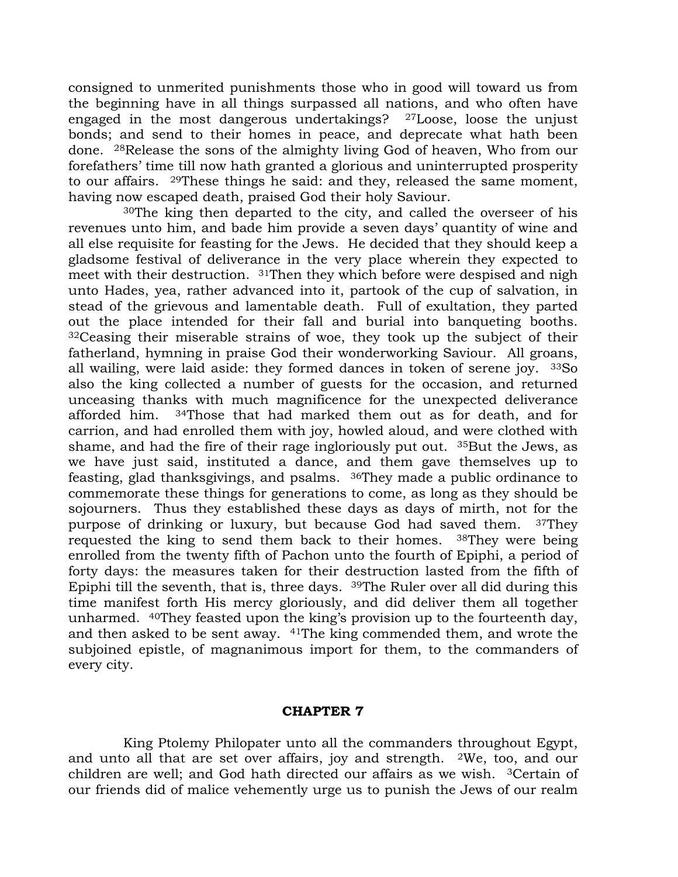consigned to unmerited punishments those who in good will toward us from the beginning have in all things surpassed all nations, and who often have engaged in the most dangerous undertakings? <sup>27</sup>Loose, loose the unjust bonds; and send to their homes in peace, and deprecate what hath been done. <sup>28</sup>Release the sons of the almighty living God of heaven, Who from our forefathers' time till now hath granted a glorious and uninterrupted prosperity to our affairs. <sup>29</sup>These things he said: and they, released the same moment, having now escaped death, praised God their holy Saviour.

<sup>30</sup>The king then departed to the city, and called the overseer of his revenues unto him, and bade him provide a seven days' quantity of wine and all else requisite for feasting for the Jews. He decided that they should keep a gladsome festival of deliverance in the very place wherein they expected to meet with their destruction. <sup>31</sup>Then they which before were despised and nigh unto Hades, yea, rather advanced into it, partook of the cup of salvation, in stead of the grievous and lamentable death. Full of exultation, they parted out the place intended for their fall and burial into banqueting booths. <sup>32</sup>Ceasing their miserable strains of woe, they took up the subject of their fatherland, hymning in praise God their wonderworking Saviour. All groans, all wailing, were laid aside: they formed dances in token of serene joy. <sup>33</sup>So also the king collected a number of guests for the occasion, and returned unceasing thanks with much magnificence for the unexpected deliverance afforded him. <sup>34</sup>Those that had marked them out as for death, and for carrion, and had enrolled them with joy, howled aloud, and were clothed with shame, and had the fire of their rage ingloriously put out. <sup>35</sup>But the Jews, as we have just said, instituted a dance, and them gave themselves up to feasting, glad thanksgivings, and psalms. <sup>36</sup>They made a public ordinance to commemorate these things for generations to come, as long as they should be sojourners. Thus they established these days as days of mirth, not for the purpose of drinking or luxury, but because God had saved them. 37They requested the king to send them back to their homes. <sup>38</sup>They were being enrolled from the twenty fifth of Pachon unto the fourth of Epiphi, a period of forty days: the measures taken for their destruction lasted from the fifth of Epiphi till the seventh, that is, three days. <sup>39</sup>The Ruler over all did during this time manifest forth His mercy gloriously, and did deliver them all together unharmed. <sup>40</sup>They feasted upon the king's provision up to the fourteenth day, and then asked to be sent away. <sup>41</sup>The king commended them, and wrote the subjoined epistle, of magnanimous import for them, to the commanders of every city.

## CHAPTER 7

King Ptolemy Philopater unto all the commanders throughout Egypt, and unto all that are set over affairs, joy and strength. <sup>2</sup>We, too, and our children are well; and God hath directed our affairs as we wish. <sup>3</sup>Certain of our friends did of malice vehemently urge us to punish the Jews of our realm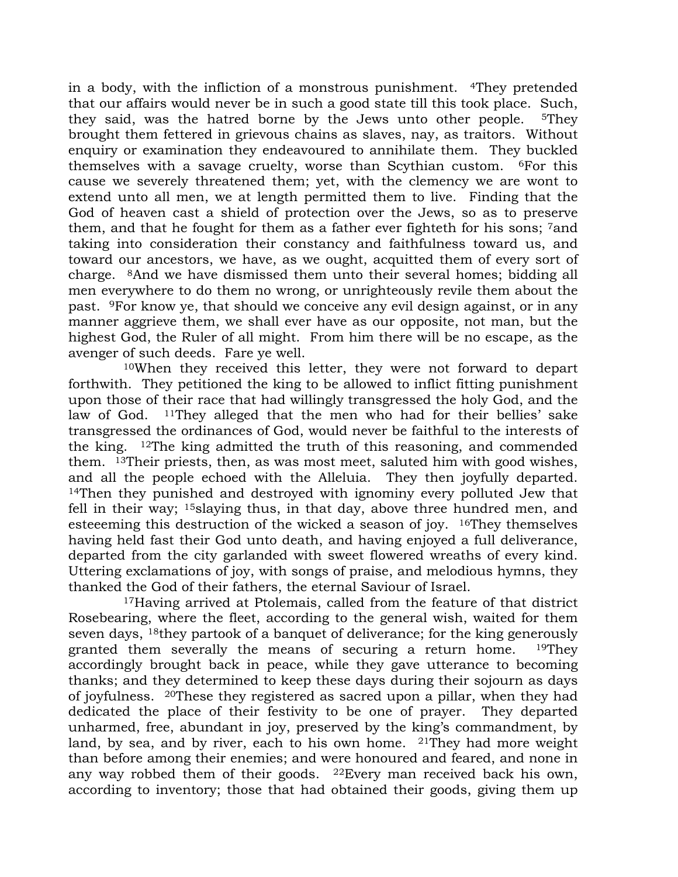in a body, with the infliction of a monstrous punishment. <sup>4</sup>They pretended that our affairs would never be in such a good state till this took place. Such, they said, was the hatred borne by the Jews unto other people. <sup>5</sup>They brought them fettered in grievous chains as slaves, nay, as traitors. Without enquiry or examination they endeavoured to annihilate them. They buckled themselves with a savage cruelty, worse than Scythian custom. <sup>6</sup>For this cause we severely threatened them; yet, with the clemency we are wont to extend unto all men, we at length permitted them to live. Finding that the God of heaven cast a shield of protection over the Jews, so as to preserve them, and that he fought for them as a father ever fighteth for his sons; <sup>7</sup>and taking into consideration their constancy and faithfulness toward us, and toward our ancestors, we have, as we ought, acquitted them of every sort of charge. <sup>8</sup>And we have dismissed them unto their several homes; bidding all men everywhere to do them no wrong, or unrighteously revile them about the past. <sup>9</sup>For know ye, that should we conceive any evil design against, or in any manner aggrieve them, we shall ever have as our opposite, not man, but the highest God, the Ruler of all might. From him there will be no escape, as the avenger of such deeds. Fare ye well.

<sup>10</sup>When they received this letter, they were not forward to depart forthwith. They petitioned the king to be allowed to inflict fitting punishment upon those of their race that had willingly transgressed the holy God, and the law of God. <sup>11</sup>They alleged that the men who had for their bellies' sake transgressed the ordinances of God, would never be faithful to the interests of the king. <sup>12</sup>The king admitted the truth of this reasoning, and commended them. <sup>13</sup>Their priests, then, as was most meet, saluted him with good wishes, and all the people echoed with the Alleluia. They then joyfully departed. <sup>14</sup>Then they punished and destroyed with ignominy every polluted Jew that fell in their way; <sup>15</sup>slaying thus, in that day, above three hundred men, and esteeeming this destruction of the wicked a season of joy.  $16$ They themselves having held fast their God unto death, and having enjoyed a full deliverance, departed from the city garlanded with sweet flowered wreaths of every kind. Uttering exclamations of joy, with songs of praise, and melodious hymns, they thanked the God of their fathers, the eternal Saviour of Israel.

<sup>17</sup>Having arrived at Ptolemais, called from the feature of that district Rosebearing, where the fleet, according to the general wish, waited for them seven days, <sup>18</sup>they partook of a banquet of deliverance; for the king generously granted them severally the means of securing a return home. <sup>19</sup>They accordingly brought back in peace, while they gave utterance to becoming thanks; and they determined to keep these days during their sojourn as days of joyfulness. <sup>20</sup>These they registered as sacred upon a pillar, when they had dedicated the place of their festivity to be one of prayer. They departed unharmed, free, abundant in joy, preserved by the king's commandment, by land, by sea, and by river, each to his own home. <sup>21</sup>They had more weight than before among their enemies; and were honoured and feared, and none in any way robbed them of their goods. <sup>22</sup>Every man received back his own, according to inventory; those that had obtained their goods, giving them up